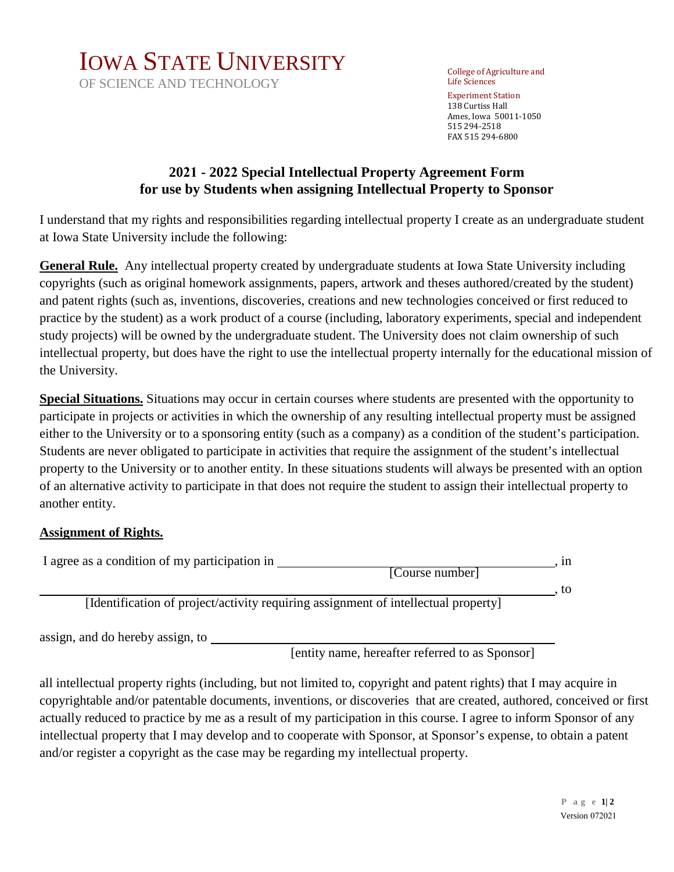

OF SCIENCE AND TECHNOLOGY

College of Agriculture and Life Sciences Experiment Station 138 Curtiss Hall Ames, Iowa 50011-1050 515 294-2518 FAX 515 294-6800

## **2021 - 2022 Special Intellectual Property Agreement Form for use by Students when assigning Intellectual Property to Sponsor**

I understand that my rights and responsibilities regarding intellectual property I create as an undergraduate student at Iowa State University include the following:

**General Rule.** Any intellectual property created by undergraduate students at Iowa State University including copyrights (such as original homework assignments, papers, artwork and theses authored/created by the student) and patent rights (such as, inventions, discoveries, creations and new technologies conceived or first reduced to practice by the student) as a work product of a course (including, laboratory experiments, special and independent study projects) will be owned by the undergraduate student. The University does not claim ownership of such intellectual property, but does have the right to use the intellectual property internally for the educational mission of the University.

**Special Situations.** Situations may occur in certain courses where students are presented with the opportunity to participate in projects or activities in which the ownership of any resulting intellectual property must be assigned either to the University or to a sponsoring entity (such as a company) as a condition of the student's participation. Students are never obligated to participate in activities that require the assignment of the student's intellectual property to the University or to another entity. In these situations students will always be presented with an option of an alternative activity to participate in that does not require the student to assign their intellectual property to another entity.

## **Assignment of Rights.**

| I agree as a condition of my participation in                                      | [Course number] | . 1n |
|------------------------------------------------------------------------------------|-----------------|------|
| [Identification of project/activity requiring assignment of intellectual property] |                 | to   |
| assign, and do hereby assign, to                                                   |                 |      |

[entity name, hereafter referred to as Sponsor]

all intellectual property rights (including, but not limited to, copyright and patent rights) that I may acquire in copyrightable and/or patentable documents, inventions, or discoveries that are created, authored, conceived or first actually reduced to practice by me as a result of my participation in this course. I agree to inform Sponsor of any intellectual property that I may develop and to cooperate with Sponsor, at Sponsor's expense, to obtain a patent and/or register a copyright as the case may be regarding my intellectual property.